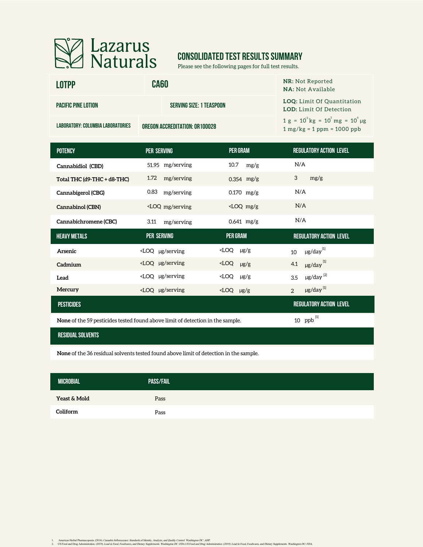

# **CONSOLIDATED TEST RESULTS SUMMARY**

Please see the following pages for full test results.

| <b>LOTPP</b>                      | <b>CA60</b>                                                                                                                                       |                        | <b>NR: Not Reported</b><br><b>NA: Not Available</b>                          |
|-----------------------------------|---------------------------------------------------------------------------------------------------------------------------------------------------|------------------------|------------------------------------------------------------------------------|
| <b>PACIFIC PINE LOTION</b>        | <b>SERVING SIZE: 1 TEASPOON</b>                                                                                                                   |                        | LOQ: Limit Of Quantitation<br><b>LOD:</b> Limit Of Detection                 |
| LABORATORY: COLUMBIA LABORATORIES | OREGON ACCREDITATION: OR 100028                                                                                                                   |                        | $1 g = 10^{3} kg = 10^{3} mg = 10^{6} \mu g$<br>$1 mg/kg = 1 ppm = 1000 ppb$ |
| <b>POTENCY</b>                    | PER SERVING                                                                                                                                       | <b>PER GRAM</b>        | <b>REGULATORY ACTION LEVEL</b>                                               |
| Cannabidiol (CBD)                 | 51.95 mg/serving                                                                                                                                  | 10.7<br>mg/g           | N/A                                                                          |
| Total THC (d9-THC + d8-THC)       | 1.72<br>mg/serving                                                                                                                                | $0.354$ mg/g           | 3<br>mg/g                                                                    |
| Cannabigerol (CBG)                | 0.83<br>mg/serving                                                                                                                                | $0.170$ mg/g           | N/A                                                                          |
| Cannabinol (CBN)                  | <loq mg="" serving<="" td=""><td><math>\angle</math>LOQ mg/g</td><td>N/A</td></loq>                                                               | $\angle$ LOQ mg/g      | N/A                                                                          |
| Cannabichromene (CBC)             | 3.11<br>mg/serving                                                                                                                                | $0.641$ mg/g           | N/A                                                                          |
| <b>HEAVY METALS</b>               | <b>PER SERVING</b>                                                                                                                                | <b>PER GRAM</b>        | <b>REGULATORY ACTION LEVEL</b>                                               |
| Arsenic                           | $\angle$ LOQ µg/serving                                                                                                                           | $\angle$ LOQ $\mu$ g/g | $\mu$ g/day $^{[1]}$<br>10                                                   |
| Cadmium                           | <loq serving<="" td="" µg=""><td><math>\times LOQ</math> <math>\mu g/g</math></td><td><math>\mu</math>g/day<math>^{[1]}</math><br/>4.1</td></loq> | $\times LOQ$ $\mu g/g$ | $\mu$ g/day $^{[1]}$<br>4.1                                                  |
| Lead                              | <loq serving<="" td="" µg=""><td><math>\angle</math>LOQ <math>\mu</math>g/g</td><td><math>\mu</math>g/day<math>^{[2]}</math><br/>3.5</td></loq>   | $\angle$ LOQ $\mu$ g/g | $\mu$ g/day $^{[2]}$<br>3.5                                                  |

| Mercury                                                                        | $\angle$ LOO µg/serving | $\angle$ LOQ $\mu$ g/g |  | $\mu$ g/day $^{[1]}$           |  |
|--------------------------------------------------------------------------------|-------------------------|------------------------|--|--------------------------------|--|
| <b>PESTICIDES</b>                                                              |                         |                        |  | <b>REGULATORY ACTION LEVEL</b> |  |
| None of the 59 pesticides tested found above limit of detection in the sample. |                         |                        |  | 10 ppb $^{[1]}$                |  |

**None** of the 59 pesticides tested found above limit of detection in the sample.

### **residual solvents**

**None** of the 36 residual solvents tested found above limit of detection in the sample.

| <b>MICROBIAL</b> | <b>PASS/FAIL</b> |  |
|------------------|------------------|--|
| Yeast & Mold     | Pass             |  |
| Coliform         | Pass             |  |

1. American Herbal Pharmacopoeia. (2014). Cananki Inflorescaree: Standards of Identity. Analysia, and yeality. Contol. Washington DC: AHP.<br>2. US Food and Drug Administration, (2019). Lead in Food, Food, Face, Washington DC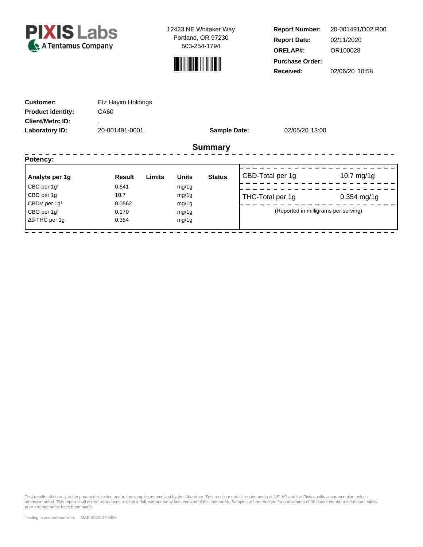



**Report Number: Report Date: ORELAP#:** 02/11/2020 OR100028 **Received:** 02/06/20 10:58 **Purchase Order:** 20-001491/D02.R00

| <b>Customer:</b><br><b>Product identity:</b><br><b>Client/Metrc ID:</b><br>Laboratory ID: | Etz Hayim Holdings<br>CA60<br>٠<br>20-001491-0001 |        |              | <b>Sample Date:</b> | 02/05/20 13:00                       |               |
|-------------------------------------------------------------------------------------------|---------------------------------------------------|--------|--------------|---------------------|--------------------------------------|---------------|
|                                                                                           |                                                   |        |              | <b>Summary</b>      |                                      |               |
| Potency:                                                                                  |                                                   |        |              |                     |                                      |               |
| Analyte per 1g                                                                            | <b>Result</b>                                     | Limits | <b>Units</b> | <b>Status</b>       | CBD-Total per 1g                     | 10.7 $mg/1g$  |
| CBC per 1g <sup>t</sup>                                                                   | 0.641                                             |        | mg/1g        |                     |                                      |               |
| CBD per 1g                                                                                | 10.7                                              |        | mg/1g        |                     | THC-Total per 1g                     | $0.354$ mg/1g |
| CBDV per 1g <sup>t</sup>                                                                  | 0.0562                                            |        | mg/1g        |                     |                                      |               |
| CBG per $1g^{\dagger}$                                                                    | 0.170                                             |        | mg/1g        |                     | (Reported in milligrams per serving) |               |
| $\Delta$ 9-THC per 1g                                                                     | 0.354                                             |        | mg/1g        |                     |                                      |               |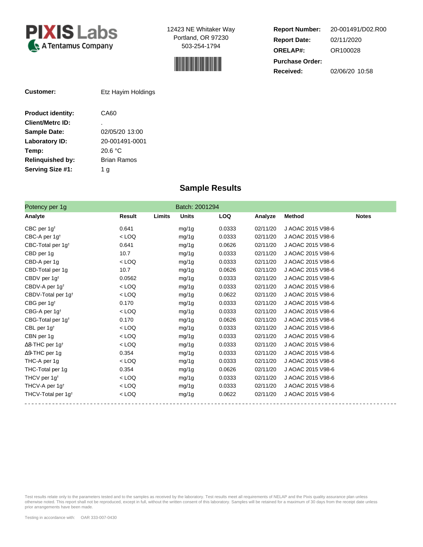



**Report Number: Report Date: ORELAP#:** 02/11/2020 OR100028 **Received:** 02/06/20 10:58 **Purchase Order:** 20-001491/D02.R00

| Customer:                | Etz Hayim Holdings |
|--------------------------|--------------------|
| <b>Product identity:</b> | CA60               |
| <b>Client/Metrc ID:</b>  | ٠                  |
| <b>Sample Date:</b>      | 02/05/20 13:00     |
| Laboratory ID:           | 20-001491-0001     |
| Temp:                    | 20.6 °C            |
| <b>Relinquished by:</b>  | Brian Ramos        |
| Serving Size #1:         | 1 g                |
|                          |                    |

## **Sample Results**

| Potency per 1g                     |               |        | Batch: 2001294 |            |          |                   |              |
|------------------------------------|---------------|--------|----------------|------------|----------|-------------------|--------------|
| Analyte                            | <b>Result</b> | Limits | <b>Units</b>   | <b>LOQ</b> | Analyze  | <b>Method</b>     | <b>Notes</b> |
| CBC per $1g†$                      | 0.641         |        | mg/1g          | 0.0333     | 02/11/20 | J AOAC 2015 V98-6 |              |
| CBC-A per $1g†$                    | $<$ LOQ       |        | mg/1g          | 0.0333     | 02/11/20 | J AOAC 2015 V98-6 |              |
| CBC-Total per 1g <sup>t</sup>      | 0.641         |        | mg/1g          | 0.0626     | 02/11/20 | J AOAC 2015 V98-6 |              |
| CBD per 1g                         | 10.7          |        | mg/1g          | 0.0333     | 02/11/20 | J AOAC 2015 V98-6 |              |
| CBD-A per 1g                       | $<$ LOQ       |        | mg/1g          | 0.0333     | 02/11/20 | J AOAC 2015 V98-6 |              |
| CBD-Total per 1g                   | 10.7          |        | mg/1g          | 0.0626     | 02/11/20 | J AOAC 2015 V98-6 |              |
| CBDV per 1g <sup>t</sup>           | 0.0562        |        | mg/1g          | 0.0333     | 02/11/20 | J AOAC 2015 V98-6 |              |
| CBDV-A per 1g <sup>t</sup>         | $<$ LOQ       |        | mg/1g          | 0.0333     | 02/11/20 | J AOAC 2015 V98-6 |              |
| CBDV-Total per 1g <sup>t</sup>     | $<$ LOQ       |        | mg/1g          | 0.0622     | 02/11/20 | J AOAC 2015 V98-6 |              |
| CBG per 1g <sup>t</sup>            | 0.170         |        | mg/1g          | 0.0333     | 02/11/20 | J AOAC 2015 V98-6 |              |
| CBG-A per 1g <sup>t</sup>          | $<$ LOQ       |        | mg/1g          | 0.0333     | 02/11/20 | J AOAC 2015 V98-6 |              |
| CBG-Total per 1g <sup>t</sup>      | 0.170         |        | mg/1g          | 0.0626     | 02/11/20 | J AOAC 2015 V98-6 |              |
| CBL per $1g†$                      | $<$ LOQ       |        | mg/1g          | 0.0333     | 02/11/20 | J AOAC 2015 V98-6 |              |
| CBN per 1g                         | $<$ LOQ       |        | mg/1g          | 0.0333     | 02/11/20 | J AOAC 2015 V98-6 |              |
| $\Delta$ 8-THC per 1g <sup>+</sup> | $<$ LOQ       |        | mg/1g          | 0.0333     | 02/11/20 | J AOAC 2015 V98-6 |              |
| $\Delta$ 9-THC per 1q              | 0.354         |        | mg/1g          | 0.0333     | 02/11/20 | J AOAC 2015 V98-6 |              |
| THC-A per 1q                       | $<$ LOQ       |        | mg/1g          | 0.0333     | 02/11/20 | J AOAC 2015 V98-6 |              |
| THC-Total per 1g                   | 0.354         |        | mg/1g          | 0.0626     | 02/11/20 | J AOAC 2015 V98-6 |              |
| THCV per 1g <sup>t</sup>           | $<$ LOQ       |        | mg/1g          | 0.0333     | 02/11/20 | J AOAC 2015 V98-6 |              |
| THCV-A per 1g <sup>t</sup>         | $<$ LOQ       |        | mg/1g          | 0.0333     | 02/11/20 | J AOAC 2015 V98-6 |              |
| THCV-Total per 1g <sup>+</sup>     | $<$ LOQ       |        | mg/1g          | 0.0622     | 02/11/20 | J AOAC 2015 V98-6 |              |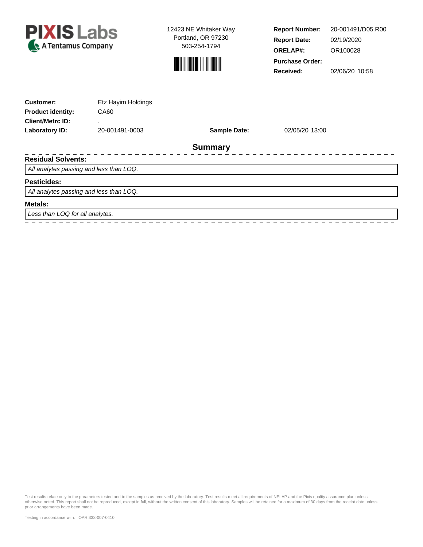



**Report Number: Report Date: ORELAP#:** 02/19/2020 OR100028 **Received:** 02/06/20 10:58 **Purchase Order:** 20-001491/D05.R00

| <b>Customer:</b>                        | Etz Hayim Holdings |                     |                |  |
|-----------------------------------------|--------------------|---------------------|----------------|--|
| <b>Product identity:</b>                | CA60               |                     |                |  |
| <b>Client/Metrc ID:</b>                 | ٠                  |                     |                |  |
| Laboratory ID:                          | 20-001491-0003     | <b>Sample Date:</b> | 02/05/20 13:00 |  |
|                                         |                    | <b>Summary</b>      |                |  |
| <b>Residual Solvents:</b>               |                    |                     |                |  |
| All analytes passing and less than LOQ. |                    |                     |                |  |
| <b>Pesticides:</b>                      |                    |                     |                |  |
| All analytes passing and less than LOQ. |                    |                     |                |  |
| Metals:                                 |                    |                     |                |  |
| Less than LOQ for all analytes.         |                    |                     |                |  |
|                                         |                    |                     |                |  |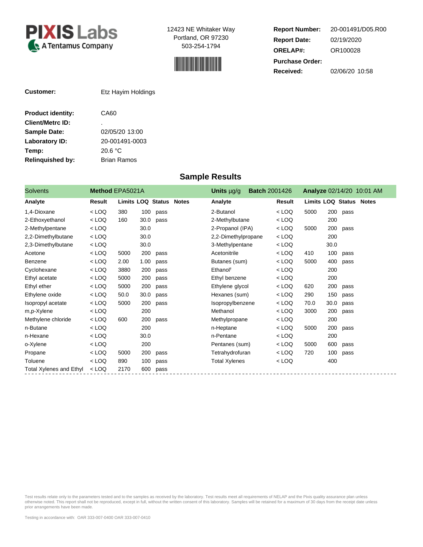



**Report Number: Report Date: ORELAP#:** 02/19/2020 OR100028 **Received:** 02/06/20 10:58 **Purchase Order:** 20-001491/D05.R00

| <b>Customer:</b>         | Etz Hayim Holdings |
|--------------------------|--------------------|
| <b>Product identity:</b> | CA60               |
| <b>Client/Metrc ID:</b>  | ٠                  |
| <b>Sample Date:</b>      | 02/05/20 13:00     |
| <b>Laboratory ID:</b>    | 20-001491-0003     |
| Temp:                    | 20.6 °C            |
| <b>Relinquished by:</b>  | <b>Brian Ramos</b> |

## **Sample Results**

| <b>Solvents</b>                | <b>Method EPA5021A</b> |                                |      |      | Units $\mu q/q$      | <b>Batch 2001426</b> |         |                                |      |      | <b>Analyze 02/14/20 10:01 AM</b> |
|--------------------------------|------------------------|--------------------------------|------|------|----------------------|----------------------|---------|--------------------------------|------|------|----------------------------------|
| Analyte                        | Result                 | <b>Limits LOQ Status Notes</b> |      |      | Analyte              |                      | Result  | <b>Limits LOQ Status Notes</b> |      |      |                                  |
| 1,4-Dioxane                    | $<$ LOQ                | 380                            | 100  | pass | 2-Butanol            |                      | $<$ LOQ | 5000                           | 200  | pass |                                  |
| 2-Ethoxyethanol                | $<$ LOQ                | 160                            | 30.0 | pass | 2-Methylbutane       |                      | $<$ LOQ |                                | 200  |      |                                  |
| 2-Methylpentane                | $<$ LOQ                |                                | 30.0 |      | 2-Propanol (IPA)     |                      | $<$ LOQ | 5000                           | 200  | pass |                                  |
| 2,2-Dimethylbutane             | $<$ LOQ                |                                | 30.0 |      | 2,2-Dimethylpropane  |                      | $<$ LOQ |                                | 200  |      |                                  |
| 2,3-Dimethylbutane             | $<$ LOQ                |                                | 30.0 |      | 3-Methylpentane      |                      | $<$ LOQ |                                | 30.0 |      |                                  |
| Acetone                        | $<$ LOQ                | 5000                           | 200  | pass | Acetonitrile         |                      | $<$ LOQ | 410                            | 100  | pass |                                  |
| Benzene                        | $<$ LOQ                | 2.00                           | 1.00 | pass | Butanes (sum)        |                      | $<$ LOQ | 5000                           | 400  | pass |                                  |
| Cyclohexane                    | $<$ LOQ                | 3880                           | 200  | pass | Ethanol <sup>t</sup> |                      | $<$ LOQ |                                | 200  |      |                                  |
| Ethyl acetate                  | $<$ LOQ                | 5000                           | 200  | pass | Ethyl benzene        |                      | $<$ LOQ |                                | 200  |      |                                  |
| Ethyl ether                    | $<$ LOQ                | 5000                           | 200  | pass | Ethylene glycol      |                      | $<$ LOQ | 620                            | 200  | pass |                                  |
| Ethylene oxide                 | $<$ LOQ                | 50.0                           | 30.0 | pass | Hexanes (sum)        |                      | $<$ LOQ | 290                            | 150  | pass |                                  |
| Isopropyl acetate              | $<$ LOQ                | 5000                           | 200  | pass | Isopropylbenzene     |                      | $<$ LOQ | 70.0                           | 30.0 | pass |                                  |
| m,p-Xylene                     | $<$ LOQ                |                                | 200  |      | Methanol             |                      | $<$ LOQ | 3000                           | 200  | pass |                                  |
| Methylene chloride             | $<$ LOQ                | 600                            | 200  | pass | Methylpropane        |                      | $<$ LOQ |                                | 200  |      |                                  |
| n-Butane                       | $<$ LOQ                |                                | 200  |      | n-Heptane            |                      | $<$ LOQ | 5000                           | 200  | pass |                                  |
| n-Hexane                       | $<$ LOQ                |                                | 30.0 |      | n-Pentane            |                      | $<$ LOQ |                                | 200  |      |                                  |
| o-Xylene                       | $<$ LOQ                |                                | 200  |      | Pentanes (sum)       |                      | $<$ LOQ | 5000                           | 600  | pass |                                  |
| Propane                        | $<$ LOQ                | 5000                           | 200  | pass | Tetrahydrofuran      |                      | < LOQ   | 720                            | 100  | pass |                                  |
| Toluene                        | $<$ LOQ                | 890                            | 100  | pass | <b>Total Xylenes</b> |                      | $<$ LOQ |                                | 400  |      |                                  |
| <b>Total Xylenes and Ethyl</b> | $<$ LOQ                | 2170                           | 600  | pass |                      |                      |         |                                |      |      |                                  |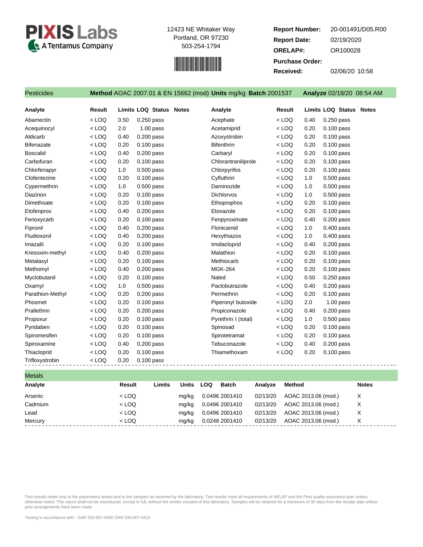



**Report Number: Report Date: ORELAP#:** 02/19/2020 OR100028 **Received:** 02/06/20 10:58 **Purchase Order:** 20-001491/D05.R00

| Pesticides        |         |      |                                | Method AOAC 2007.01 & EN 15662 (mod) Units mg/kg Batch 2001537 |         |      | Analyze 02/18/20 08:54 AM      |
|-------------------|---------|------|--------------------------------|----------------------------------------------------------------|---------|------|--------------------------------|
| Analyte           | Result  |      | <b>Limits LOQ Status Notes</b> | Analyte                                                        | Result  |      | <b>Limits LOQ Status Notes</b> |
| Abamectin         | $<$ LOQ | 0.50 | $0.250$ pass                   | Acephate                                                       | $<$ LOQ | 0.40 | $0.250$ pass                   |
| Acequinocyl       | $<$ LOQ | 2.0  | $1.00$ pass                    | Acetamiprid                                                    | $<$ LOQ | 0.20 | $0.100$ pass                   |
| Aldicarb          | $<$ LOQ | 0.40 | $0.200$ pass                   | Azoxystrobin                                                   | $<$ LOQ | 0.20 | $0.100$ pass                   |
| <b>Bifenazate</b> | $<$ LOQ | 0.20 | 0.100 pass                     | <b>Bifenthrin</b>                                              | $<$ LOQ | 0.20 | $0.100$ pass                   |
| <b>Boscalid</b>   | $<$ LOQ | 0.40 | $0.200$ pass                   | Carbaryl                                                       | $<$ LOQ | 0.20 | $0.100$ pass                   |
| Carbofuran        | $<$ LOQ | 0.20 | 0.100 pass                     | Chlorantraniliprole                                            | $<$ LOQ | 0.20 | $0.100$ pass                   |
| Chlorfenapyr      | $<$ LOQ | 1.0  | $0.500$ pass                   | Chlorpyrifos                                                   | $<$ LOQ | 0.20 | $0.100$ pass                   |
| Clofentezine      | $<$ LOQ | 0.20 | $0.100$ pass                   | Cyfluthrin                                                     | $<$ LOQ | 1.0  | $0.500$ pass                   |
| Cypermethrin      | $<$ LOQ | 1.0  | $0.500$ pass                   | Daminozide                                                     | $<$ LOQ | 1.0  | $0.500$ pass                   |
| Diazinon          | $<$ LOQ | 0.20 | $0.100$ pass                   | <b>Dichlorvos</b>                                              | $<$ LOQ | 1.0  | $0.500$ pass                   |
| Dimethoate        | $<$ LOQ | 0.20 | $0.100$ pass                   | Ethoprophos                                                    | $<$ LOQ | 0.20 | 0.100 pass                     |
| Etofenprox        | $<$ LOQ | 0.40 | 0.200 pass                     | Etoxazole                                                      | $<$ LOQ | 0.20 | $0.100$ pass                   |
| Fenoxycarb        | $<$ LOQ | 0.20 | 0.100 pass                     | Fenpyroximate                                                  | $<$ LOQ | 0.40 | $0.200$ pass                   |
| Fipronil          | $<$ LOQ | 0.40 | 0.200 pass                     | Flonicamid                                                     | $<$ LOQ | 1.0  | $0.400$ pass                   |
| Fludioxonil       | $<$ LOQ | 0.40 | 0.200 pass                     | Hexythiazox                                                    | $<$ LOQ | 1.0  | $0.400$ pass                   |
| Imazalil          | $<$ LOQ | 0.20 | $0.100$ pass                   | Imidacloprid                                                   | $<$ LOQ | 0.40 | $0.200$ pass                   |
| Kresoxim-methyl   | $<$ LOQ | 0.40 | 0.200 pass                     | Malathion                                                      | $<$ LOQ | 0.20 | $0.100$ pass                   |
| Metalaxyl         | $<$ LOQ | 0.20 | $0.100$ pass                   | Methiocarb                                                     | $<$ LOQ | 0.20 | $0.100$ pass                   |
| Methomyl          | $<$ LOQ | 0.40 | $0.200$ pass                   | <b>MGK-264</b>                                                 | $<$ LOQ | 0.20 | $0.100$ pass                   |
| Myclobutanil      | $<$ LOQ | 0.20 | $0.100$ pass                   | Naled                                                          | $<$ LOQ | 0.50 | $0.250$ pass                   |
| Oxamyl            | $<$ LOQ | 1.0  | 0.500 pass                     | Paclobutrazole                                                 | $<$ LOQ | 0.40 | $0.200$ pass                   |
| Parathion-Methyl  | $<$ LOQ | 0.20 | $0.200$ pass                   | Permethrin                                                     | $<$ LOQ | 0.20 | $0.100$ pass                   |
| Phosmet           | $<$ LOQ | 0.20 | 0.100 pass                     | Piperonyl butoxide                                             | $<$ LOQ | 2.0  | $1.00$ pass                    |
| Prallethrin       | $<$ LOQ | 0.20 | $0.200$ pass                   | Propiconazole                                                  | $<$ LOQ | 0.40 | $0.200$ pass                   |
| Propoxur          | $<$ LOQ | 0.20 | $0.100$ pass                   | Pyrethrin I (total)                                            | $<$ LOQ | 1.0  | $0.500$ pass                   |
| Pyridaben         | $<$ LOQ | 0.20 | $0.100$ pass                   | Spinosad                                                       | $<$ LOQ | 0.20 | $0.100$ pass                   |
| Spiromesifen      | $<$ LOQ | 0.20 | $0.100$ pass                   | Spirotetramat                                                  | $<$ LOQ | 0.20 | $0.100$ pass                   |
| Spiroxamine       | $<$ LOQ | 0.40 | 0.200 pass                     | Tebuconazole                                                   | $<$ LOQ | 0.40 | 0.200 pass                     |
| Thiacloprid       | $<$ LOQ | 0.20 | 0.100 pass                     | Thiamethoxam                                                   | $<$ LOQ | 0.20 | $0.100$ pass                   |
| Trifloxystrobin   | $<$ LOQ | 0.20 | $0.100$ pass                   |                                                                |         |      |                                |

| <b>Metals</b> |         |        |              |                            |          |                     |              |  |
|---------------|---------|--------|--------------|----------------------------|----------|---------------------|--------------|--|
| Analyte       | Result  | Limits | <b>Units</b> | <b>Batch</b><br><b>LOQ</b> | Analyze  | <b>Method</b>       | <b>Notes</b> |  |
| Arsenic       | $<$ LOQ |        | mg/kg        | 0.0496 2001410             | 02/13/20 | AOAC 2013.06 (mod.) | X            |  |
| Cadmium       | $<$ LOQ |        | mg/kg        | 0.0496 2001410             | 02/13/20 | AOAC 2013.06 (mod.) | X            |  |
| Lead          | $<$ LOQ |        | mg/kg        | 0.0496 2001410             | 02/13/20 | AOAC 2013.06 (mod.) | X            |  |
| Mercury       | $<$ LOQ |        | mg/kg        | 0.0248 2001410             | 02/13/20 | AOAC 2013.06 (mod.) | X            |  |
|               |         |        |              |                            |          |                     |              |  |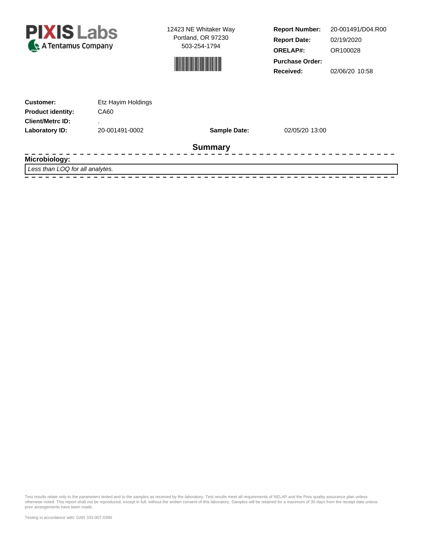



**Report Number: Report Date: ORELAP#:** 02/19/2020 OR100028 **Received:** 02/06/20 10:58 **Purchase Order:** 20-001491/D04.R00

| <b>Customer:</b>         | Etz Hayim Holdings |                     |                |  |
|--------------------------|--------------------|---------------------|----------------|--|
| <b>Product identity:</b> | CA60               |                     |                |  |
| <b>Client/Metrc ID:</b>  |                    |                     |                |  |
| Laboratory ID:           | 20-001491-0002     | <b>Sample Date:</b> | 02/05/20 13:00 |  |
|                          |                    | <b>Summary</b>      |                |  |
| Microbiology:            |                    |                     |                |  |

Less than LOQ for all analytes.